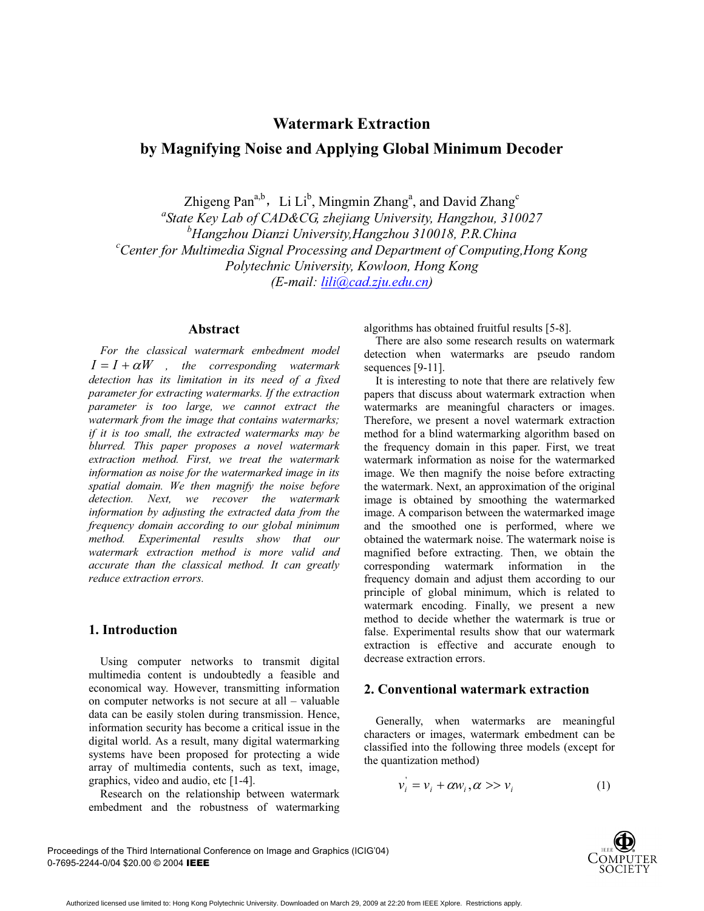# **Watermark Extraction**

# **by Magnifying Noise and Applying Global Minimum Decoder**

Zhigeng Pan<sup>a,b</sup>, Li Li<sup>b</sup>, Mingmin Zhang<sup>a</sup>, and David Zhang<sup>c</sup>

*a State Key Lab of CAD&CG, zhejiang University, Hangzhou, 310027*  <sup>*b*</sup> Hangzhou Dianzi University,Hangzhou 310018, P.R.China<sup>c</sup> Contex for Multimedia Signal Presessing and Department of Computing *Center for Multimedia Signal Processing and Department of Computing,Hong Kong Polytechnic University, Kowloon, Hong Kong (E-mail: lili@cad.zju.edu.cn)*

#### **Abstract**

*For the classical watermark embedment model*  $I = I + \alpha W$ , the corresponding watermark *detection has its limitation in its need of a fixed parameter for extracting watermarks. If the extraction parameter is too large, we cannot extract the watermark from the image that contains watermarks; if it is too small, the extracted watermarks may be blurred. This paper proposes a novel watermark extraction method. First, we treat the watermark information as noise for the watermarked image in its spatial domain. We then magnify the noise before detection. Next, we recover the watermark information by adjusting the extracted data from the frequency domain according to our global minimum method. Experimental results show that our watermark extraction method is more valid and accurate than the classical method. It can greatly reduce extraction errors.* 

# **1. Introduction**

Using computer networks to transmit digital multimedia content is undoubtedly a feasible and economical way. However, transmitting information on computer networks is not secure at all – valuable data can be easily stolen during transmission. Hence, information security has become a critical issue in the digital world. As a result, many digital watermarking systems have been proposed for protecting a wide array of multimedia contents, such as text, image, graphics, video and audio, etc [1-4].

Research on the relationship between watermark embedment and the robustness of watermarking algorithms has obtained fruitful results [5-8].

There are also some research results on watermark detection when watermarks are pseudo random sequences [9-11].

It is interesting to note that there are relatively few papers that discuss about watermark extraction when watermarks are meaningful characters or images. Therefore, we present a novel watermark extraction method for a blind watermarking algorithm based on the frequency domain in this paper. First, we treat watermark information as noise for the watermarked image. We then magnify the noise before extracting the watermark. Next, an approximation of the original image is obtained by smoothing the watermarked image. A comparison between the watermarked image and the smoothed one is performed, where we obtained the watermark noise. The watermark noise is magnified before extracting. Then, we obtain the corresponding watermark information in the frequency domain and adjust them according to our principle of global minimum, which is related to watermark encoding. Finally, we present a new method to decide whether the watermark is true or false. Experimental results show that our watermark extraction is effective and accurate enough to decrease extraction errors.

## **2. Conventional watermark extraction**

Generally, when watermarks are meaningful characters or images, watermark embedment can be classified into the following three models (except for the quantization method)

$$
v_i' = v_i + \alpha w_i, \alpha \gg v_i \tag{1}
$$

Proceedings of the Third International Conference on Image and Graphics (ICIG'04) 0-7695-2244-0/04 \$20.00 © 2004 IEEE

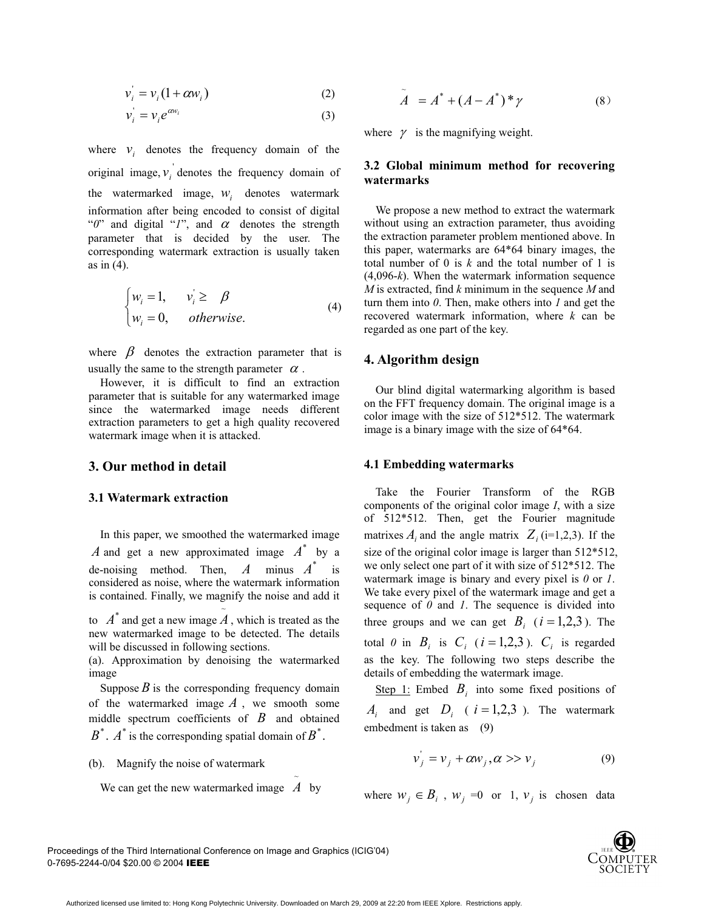$$
v_i' = v_i (1 + \alpha w_i) \tag{2}
$$

$$
v_i = v_i e^{\alpha w_i} \tag{3}
$$

where  $v_i$  denotes the frequency domain of the original image,  $v_i$  denotes the frequency domain of the watermarked image,  $W_i$  denotes watermark information after being encoded to consist of digital " $0$ " and digital "*1*", and  $\alpha$  denotes the strength parameter that is decided by the user. The corresponding watermark extraction is usually taken as in (4).

$$
\begin{cases} w_i = 1, & v_i \ge \beta \\ w_i = 0, & otherwise. \end{cases}
$$
 (4)

where  $\beta$  denotes the extraction parameter that is usually the same to the strength parameter  $\alpha$ .

However, it is difficult to find an extraction parameter that is suitable for any watermarked image since the watermarked image needs different extraction parameters to get a high quality recovered watermark image when it is attacked.

#### **3. Our method in detail**

#### **3.1 Watermark extraction**

In this paper, we smoothed the watermarked image A and get a new approximated image  $A^*$  by a de-noising method. Then,  $A$  minus  $A^*$  is considered as noise, where the watermark information is contained. Finally, we magnify the noise and add it

to  $A^*$  and get a new image  $\tilde{A}$ , which is treated as the new watermarked image to be detected. The details will be discussed in following sections.

(a). Approximation by denoising the watermarked image

Suppose  $B$  is the corresponding frequency domain of the watermarked image  $A$ , we smooth some middle spectrum coefficients of *B* and obtained  $B^*$ .  $A^*$  is the corresponding spatial domain of  $B^*$ .

(b). Magnify the noise of watermark

We can get the new watermarked image  $A$  by

$$
\tilde{A} = A^* + (A - A^*)^* \gamma \tag{8}
$$

where  $\gamma$  is the magnifying weight.

#### **3.2 Global minimum method for recovering watermarks**

We propose a new method to extract the watermark without using an extraction parameter, thus avoiding the extraction parameter problem mentioned above. In this paper, watermarks are 64\*64 binary images, the total number of 0 is *k* and the total number of 1 is (4,096-*k*). When the watermark information sequence *M* is extracted, find *k* minimum in the sequence *M* and turn them into *0*. Then, make others into *1* and get the recovered watermark information, where *k* can be regarded as one part of the key.

## **4. Algorithm design**

Our blind digital watermarking algorithm is based on the FFT frequency domain. The original image is a color image with the size of 512\*512. The watermark image is a binary image with the size of 64\*64.

#### **4.1 Embedding watermarks**

Take the Fourier Transform of the RGB components of the original color image *I*, with a size of 512\*512. Then, get the Fourier magnitude matrixes  $A_i$  and the angle matrix  $Z_i$  (i=1,2,3). If the size of the original color image is larger than 512\*512, we only select one part of it with size of 512\*512. The watermark image is binary and every pixel is *0* or *1*. We take every pixel of the watermark image and get a sequence of *0* and *1*. The sequence is divided into three groups and we can get  $B_i$  ( $i = 1,2,3$ ). The total 0 in  $B_i$  is  $C_i$  ( $i = 1, 2, 3$ ).  $C_i$  is regarded as the key. The following two steps describe the details of embedding the watermark image.

Step 1: Embed  $B_i$  into some fixed positions of  $A_i$  and get  $D_i$  (  $i = 1,2,3$  ). The watermark embedment is taken as (9)

$$
v_j' = v_j + \alpha w_j, \alpha >> v_j \tag{9}
$$

where  $w_j \in B_i$ ,  $w_j = 0$  or 1,  $v_j$  is chosen data

Proceedings of the Third International Conference on Image and Graphics (ICIG'04) 0-7695-2244-0/04 \$20.00 © 2004 IEEE



~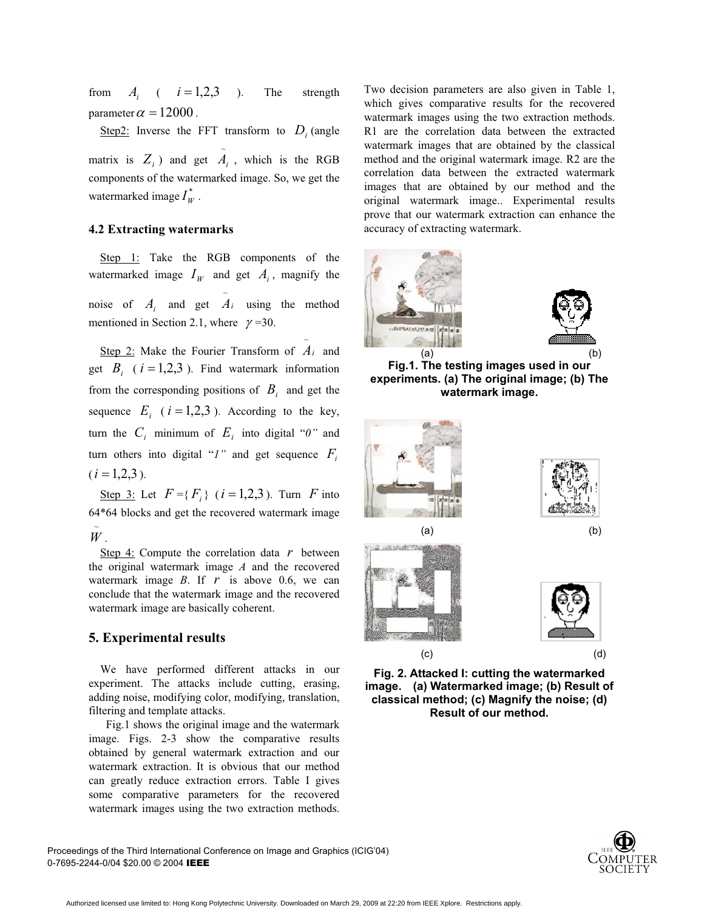from  $A_i$  (  $i = 1,2,3$  ). The strength parameter  $\alpha = 12000$  .

matrix is  $Z_i$ ) and get  $A_i$ , which is the RGB watermarked image  $I_W^*$  . Step2: Inverse the FFT transform to  $D_i$  (angle components of the watermarked image. So, we get the

#### **4.2 Extracting watermarks**

watermarked image  $I_W$  and get  $A_i$ , magnify the noise of  $A_i$  and get  $\tilde{A}_i$  using the method Step 1: Take the RGB components of the mentioned in Section 2.1, where  $\gamma = 30$ .

get  $B_i$  ( $i = 1,2,3$ ). Find watermark information sequence  $E_i$  ( $i = 1,2,3$ ). According to the key, furn the  $C_i$  minimum of  $E_i$  into digital " $\theta$ " and  $(i = 1,2,3)$ . Step 2: Make the Fourier Transform of  $A_i$  and from the corresponding positions of  $B_i$  and get the turn others into digital "*1"* and get sequence *Fi*

<u>Step 3:</u> Let  $F = \{F_i\}$  ( $i = 1,2,3$ ). Turn  $F$  into 64\*64 blocks and get the recovered watermark image . *W* ~

watermark image  $B$ . If  $r$  is above 0.6, we can Step 4: Compute the correlation data *r* between the original watermark image *A* and the recovered conclude that the watermark image and the recovered watermark image are basically coherent.

#### **5. Experimental results**

We have performed different attacks in our experiment. The attacks include cutting, erasing, adding noise, modifying color, modifying, translation, filtering and template attacks.

Fig.1 shows the original image and the watermark image. Figs. 2-3 show the comparative results obtained by general watermark extraction and our watermark extraction. It is obvious that our method can greatly reduce extraction errors. Table I gives some comparative parameters for the recovered watermark images using the two extraction methods.

Two decision parameters are also given in Table 1, which gives comparative results for the recovered watermark images using the two extraction methods. R1 are the correlation data between the extracted watermark images that are obtained by the classical method and the original watermark image. R2 are the correlation data between the extracted watermark images that are obtained by our method and the original watermark image.. Experimental results prove that our watermark extraction can enhance the accuracy of extracting watermark.





**Fig.1. The testing images used in our experiments. (a) The original image; (b) The watermark image.** 









**Fig. 2. Attacked I: cutting the watermarked image. (a) Watermarked image; (b) Result of classical method; (c) Magnify the noise; (d) Result of our method.** 



Proceedings of the Third International Conference on Image and Graphics (ICIG'04) 0-7695-2244-0/04 \$20.00 © 2004 IEEE